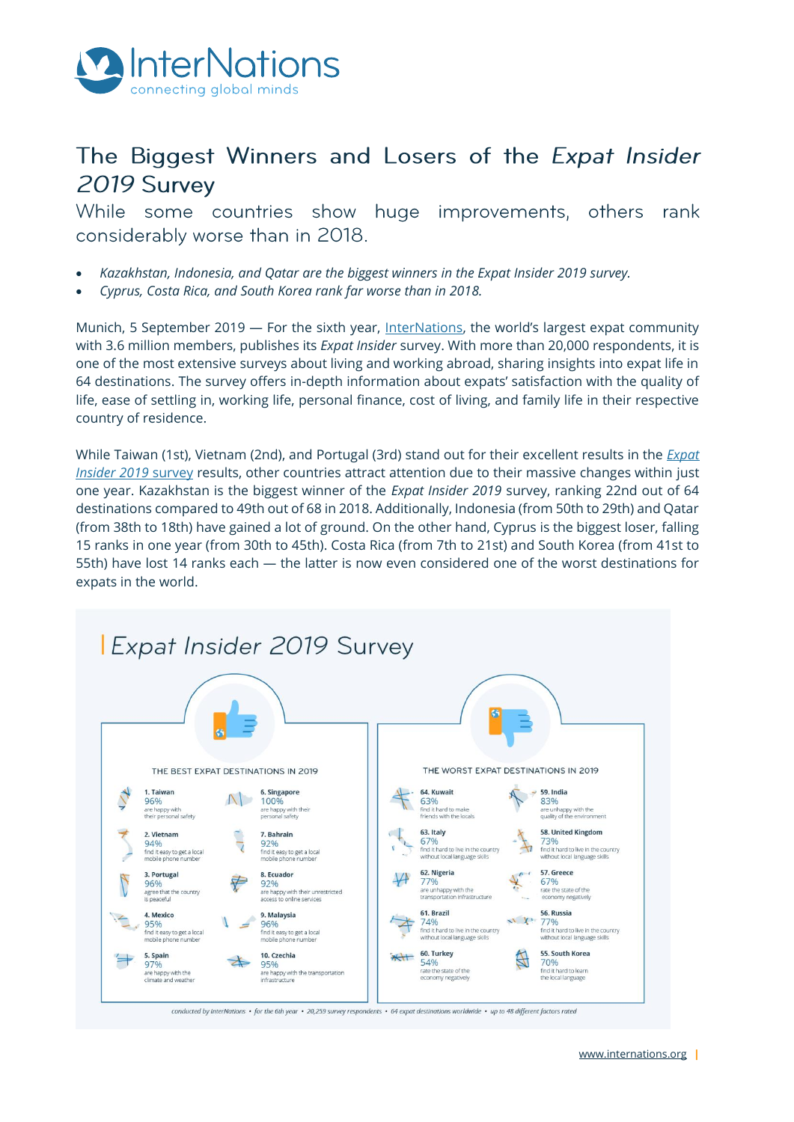

# The Biggest Winners and Losers of the Expat Insider 2019 Survey

While some countries show huge improvements, others rank considerably worse than in 2018.

- *Kazakhstan, Indonesia, and Qatar are the biggest winners in the Expat Insider 2019 survey.*
- *Cyprus, Costa Rica, and South Korea rank far worse than in 2018.*

Munich, 5 September 2019 — For the sixth year, [InterNations](http://www.internations.org/), the world's largest expat community with 3.6 million members, publishes its *Expat Insider* survey. With more than 20,000 respondents, it is one of the most extensive surveys about living and working abroad, sharing insights into expat life in 64 destinations. The survey offers in-depth information about expats' satisfaction with the quality of life, ease of settling in, working life, personal finance, cost of living, and family life in their respective country of residence.

While Taiwan (1st), Vietnam (2nd), and Portugal (3rd) stand out for their excellent results in the *[Expat](http://www.internations.org/expat-insider)  [Insider 2019](http://www.internations.org/expat-insider)* survey results, other countries attract attention due to their massive changes within just one year. Kazakhstan is the biggest winner of the *Expat Insider 2019* survey, ranking 22nd out of 64 destinations compared to 49th out of 68 in 2018. Additionally, Indonesia (from 50th to 29th) and Qatar (from 38th to 18th) have gained a lot of ground. On the other hand, Cyprus is the biggest loser, falling 15 ranks in one year (from 30th to 45th). Costa Rica (from 7th to 21st) and South Korea (from 41st to 55th) have lost 14 ranks each — the latter is now even considered one of the worst destinations for expats in the world.

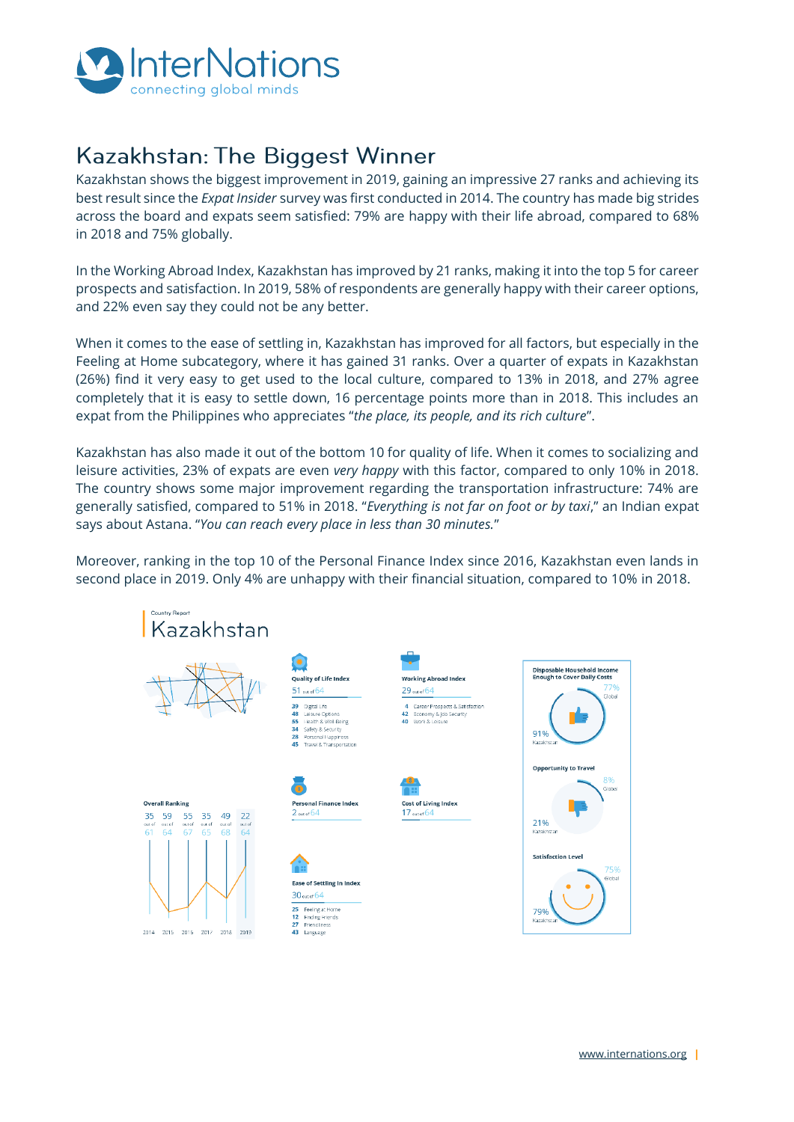

# Kazakhstan: The Biggest Winner

Kazakhstan shows the biggest improvement in 2019, gaining an impressive 27 ranks and achieving its best result since the *Expat Insider* survey was first conducted in 2014. The country has made big strides across the board and expats seem satisfied: 79% are happy with their life abroad, compared to 68% in 2018 and 75% globally.

In the Working Abroad Index, Kazakhstan has improved by 21 ranks, making it into the top 5 for career prospects and satisfaction. In 2019, 58% of respondents are generally happy with their career options, and 22% even say they could not be any better.

When it comes to the ease of settling in, Kazakhstan has improved for all factors, but especially in the Feeling at Home subcategory, where it has gained 31 ranks. Over a quarter of expats in Kazakhstan (26%) find it very easy to get used to the local culture, compared to 13% in 2018, and 27% agree completely that it is easy to settle down, 16 percentage points more than in 2018. This includes an expat from the Philippines who appreciates "*the place, its people, and its rich culture*".

Kazakhstan has also made it out of the bottom 10 for quality of life. When it comes to socializing and leisure activities, 23% of expats are even *very happy* with this factor, compared to only 10% in 2018. The country shows some major improvement regarding the transportation infrastructure: 74% are generally satisfied, compared to 51% in 2018. "*Everything is not far on foot or by taxi*," an Indian expat says about Astana. "*You can reach every place in less than 30 minutes.*"

Moreover, ranking in the top 10 of the Personal Finance Index since 2016, Kazakhstan even lands in second place in 2019. Only 4% are unhappy with their financial situation, compared to 10% in 2018.

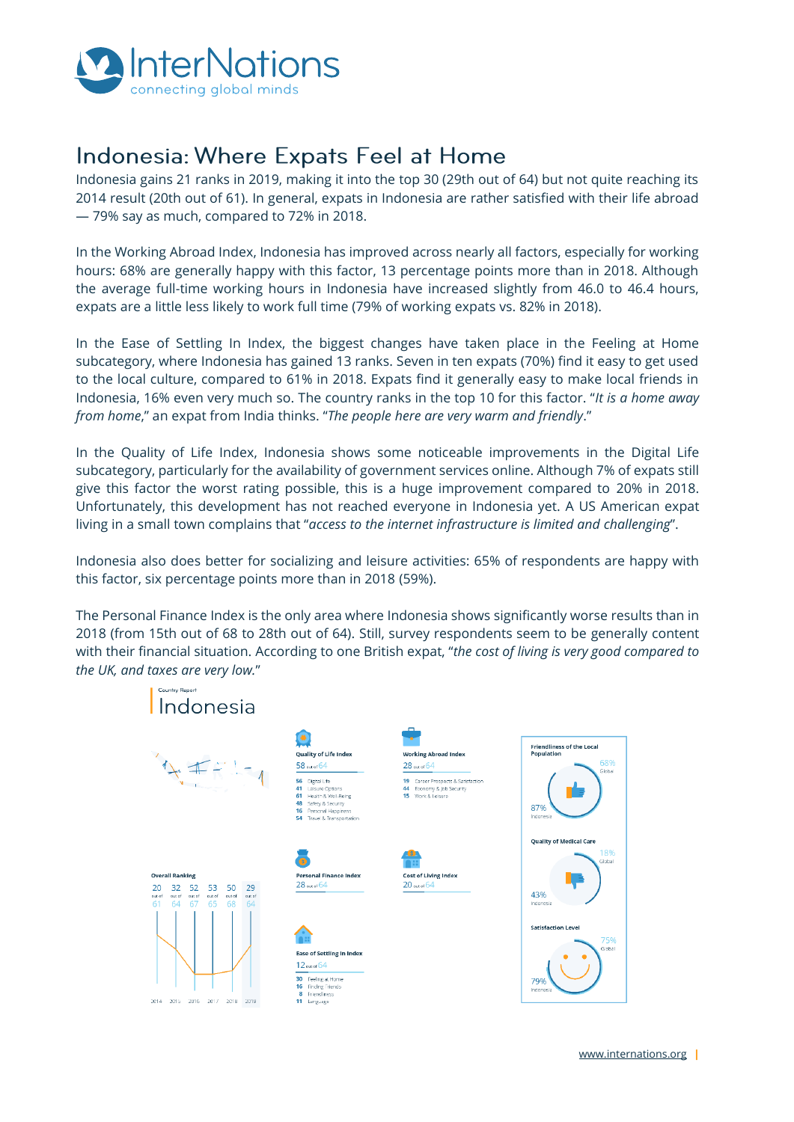

## Indonesia: Where Expats Feel at Home

Indonesia gains 21 ranks in 2019, making it into the top 30 (29th out of 64) but not quite reaching its 2014 result (20th out of 61). In general, expats in Indonesia are rather satisfied with their life abroad — 79% say as much, compared to 72% in 2018.

In the Working Abroad Index, Indonesia has improved across nearly all factors, especially for working hours: 68% are generally happy with this factor, 13 percentage points more than in 2018. Although the average full-time working hours in Indonesia have increased slightly from 46.0 to 46.4 hours, expats are a little less likely to work full time (79% of working expats vs. 82% in 2018).

In the Ease of Settling In Index, the biggest changes have taken place in the Feeling at Home subcategory, where Indonesia has gained 13 ranks. Seven in ten expats (70%) find it easy to get used to the local culture, compared to 61% in 2018. Expats find it generally easy to make local friends in Indonesia, 16% even very much so. The country ranks in the top 10 for this factor. "*It is a home away from home*," an expat from India thinks. "*The people here are very warm and friendly*."

In the Quality of Life Index, Indonesia shows some noticeable improvements in the Digital Life subcategory, particularly for the availability of government services online. Although 7% of expats still give this factor the worst rating possible, this is a huge improvement compared to 20% in 2018. Unfortunately, this development has not reached everyone in Indonesia yet. A US American expat living in a small town complains that "*access to the internet infrastructure is limited and challenging*".

Indonesia also does better for socializing and leisure activities: 65% of respondents are happy with this factor, six percentage points more than in 2018 (59%).

The Personal Finance Index is the only area where Indonesia shows significantly worse results than in 2018 (from 15th out of 68 to 28th out of 64). Still, survey respondents seem to be generally content with their financial situation. According to one British expat, "*the cost of living is very good compared to the UK, and taxes are very low.*"

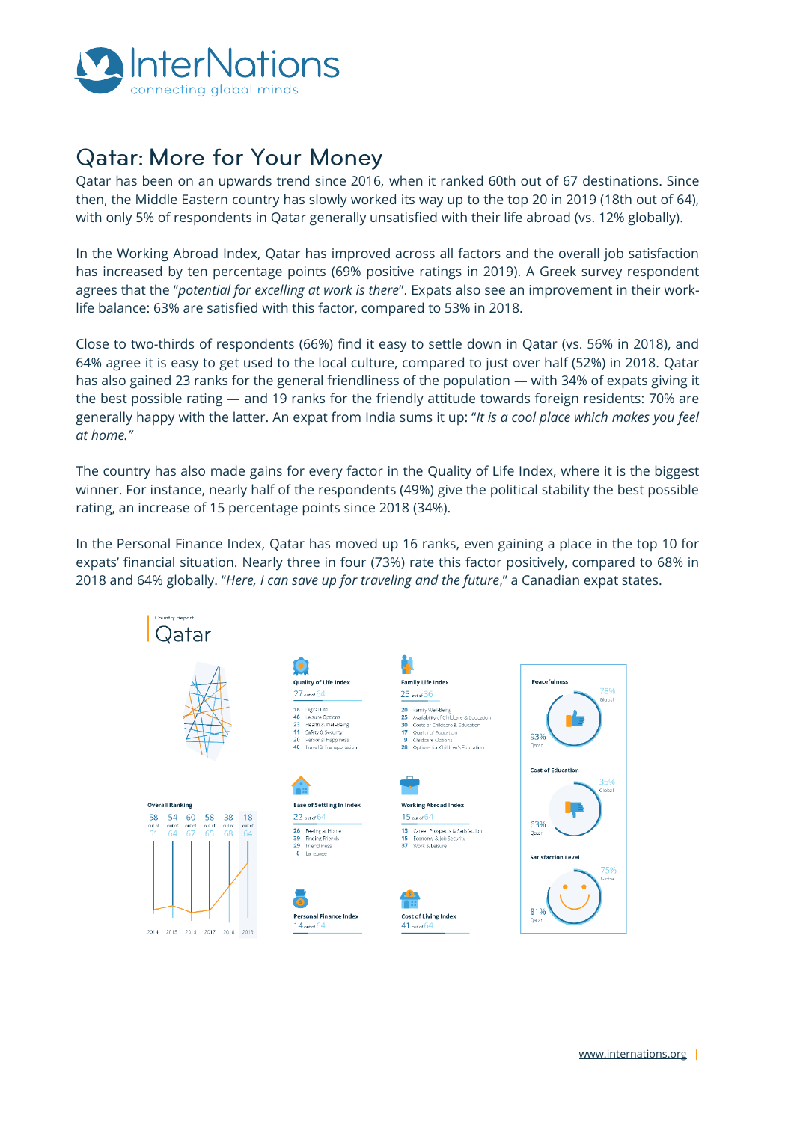

## **Qatar: More for Your Money**

Qatar has been on an upwards trend since 2016, when it ranked 60th out of 67 destinations. Since then, the Middle Eastern country has slowly worked its way up to the top 20 in 2019 (18th out of 64), with only 5% of respondents in Qatar generally unsatisfied with their life abroad (vs. 12% globally).

In the Working Abroad Index, Qatar has improved across all factors and the overall job satisfaction has increased by ten percentage points (69% positive ratings in 2019). A Greek survey respondent agrees that the "*potential for excelling at work is there*". Expats also see an improvement in their worklife balance: 63% are satisfied with this factor, compared to 53% in 2018.

Close to two-thirds of respondents (66%) find it easy to settle down in Qatar (vs. 56% in 2018), and 64% agree it is easy to get used to the local culture, compared to just over half (52%) in 2018. Qatar has also gained 23 ranks for the general friendliness of the population — with 34% of expats giving it the best possible rating — and 19 ranks for the friendly attitude towards foreign residents: 70% are generally happy with the latter. An expat from India sums it up: "*It is a cool place which makes you feel at home."*

The country has also made gains for every factor in the Quality of Life Index, where it is the biggest winner. For instance, nearly half of the respondents (49%) give the political stability the best possible rating, an increase of 15 percentage points since 2018 (34%).

In the Personal Finance Index, Qatar has moved up 16 ranks, even gaining a place in the top 10 for expats' financial situation. Nearly three in four (73%) rate this factor positively, compared to 68% in 2018 and 64% globally. "*Here, I can save up for traveling and the future*," a Canadian expat states.

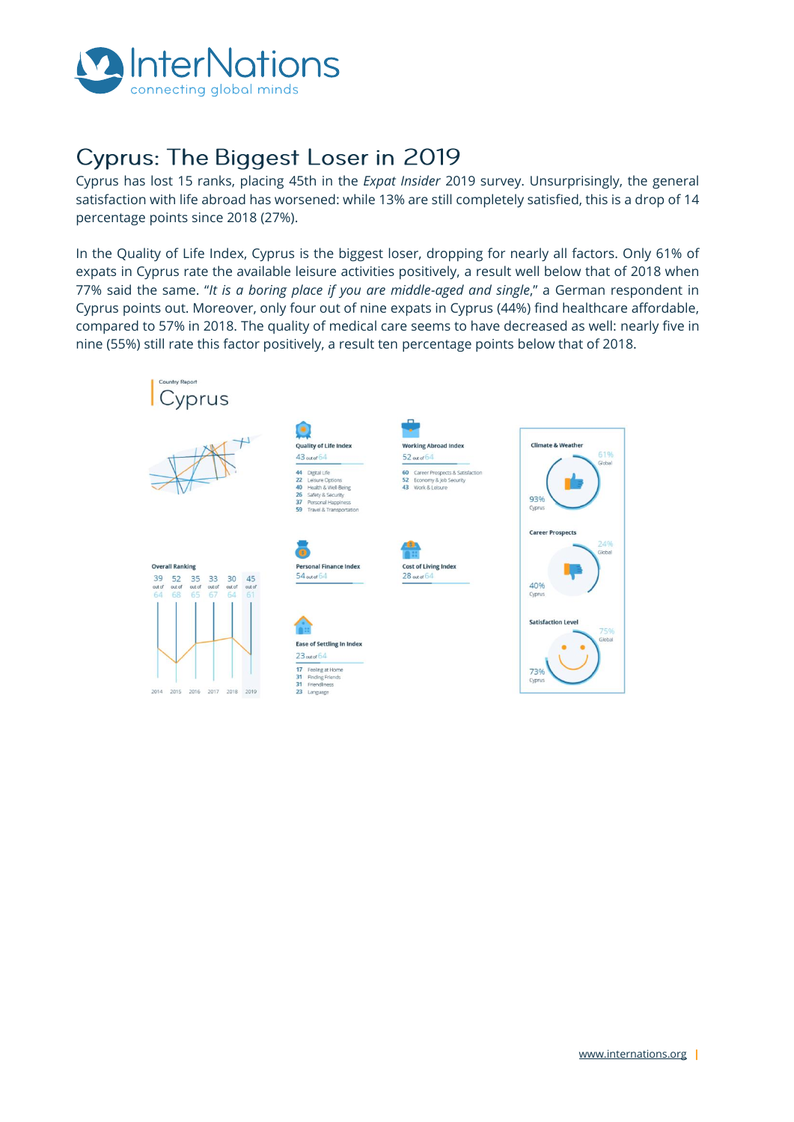

## **Cyprus: The Biggest Loser in 2019**

Cyprus has lost 15 ranks, placing 45th in the *Expat Insider* 2019 survey. Unsurprisingly, the general satisfaction with life abroad has worsened: while 13% are still completely satisfied, this is a drop of 14 percentage points since 2018 (27%).

In the Quality of Life Index, Cyprus is the biggest loser, dropping for nearly all factors. Only 61% of expats in Cyprus rate the available leisure activities positively, a result well below that of 2018 when 77% said the same. "*It is a boring place if you are middle-aged and single*," a German respondent in Cyprus points out. Moreover, only four out of nine expats in Cyprus (44%) find healthcare affordable, compared to 57% in 2018. The quality of medical care seems to have decreased as well: nearly five in nine (55%) still rate this factor positively, a result ten percentage points below that of 2018.



[www.internations.org](http://www.internations.org/) **|**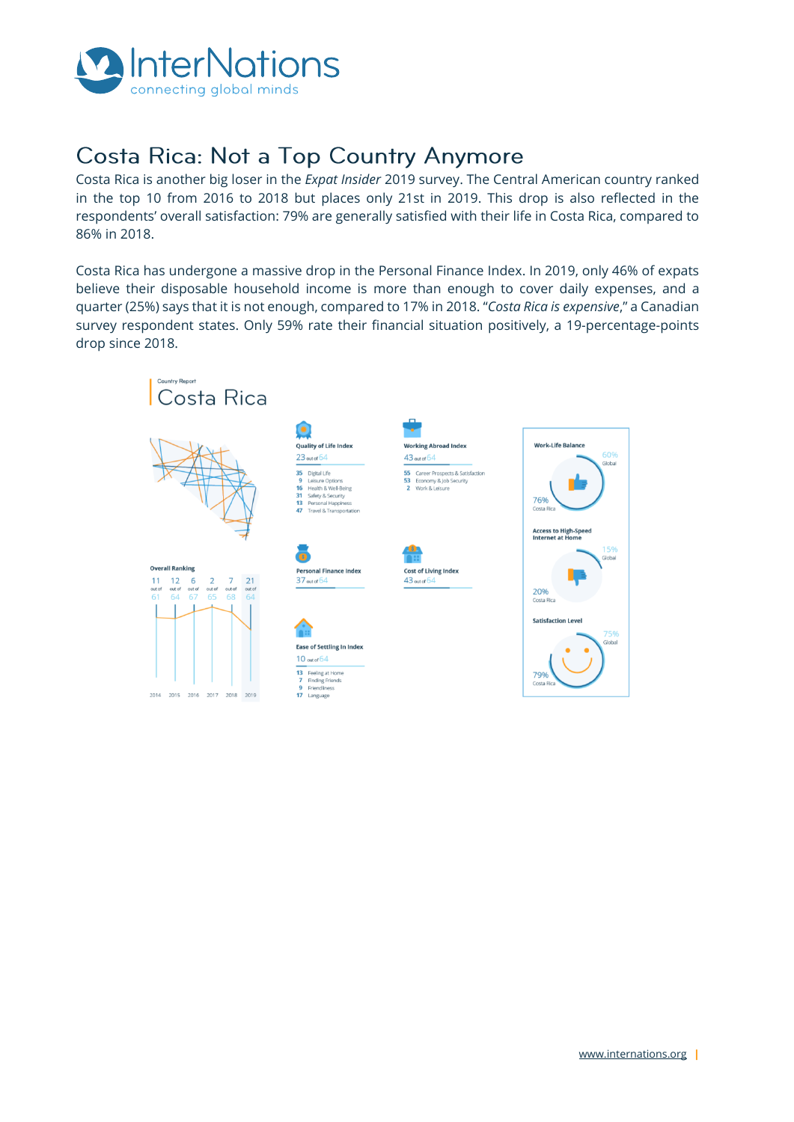

# Costa Rica: Not a Top Country Anymore

Costa Rica is another big loser in the *Expat Insider* 2019 survey. The Central American country ranked in the top 10 from 2016 to 2018 but places only 21st in 2019. This drop is also reflected in the respondents' overall satisfaction: 79% are generally satisfied with their life in Costa Rica, compared to 86% in 2018.

Costa Rica has undergone a massive drop in the Personal Finance Index. In 2019, only 46% of expats believe their disposable household income is more than enough to cover daily expenses, and a quarter (25%) says that it is not enough, compared to 17% in 2018. "*Costa Rica is expensive*," a Canadian survey respondent states. Only 59% rate their financial situation positively, a 19-percentage-points drop since 2018.



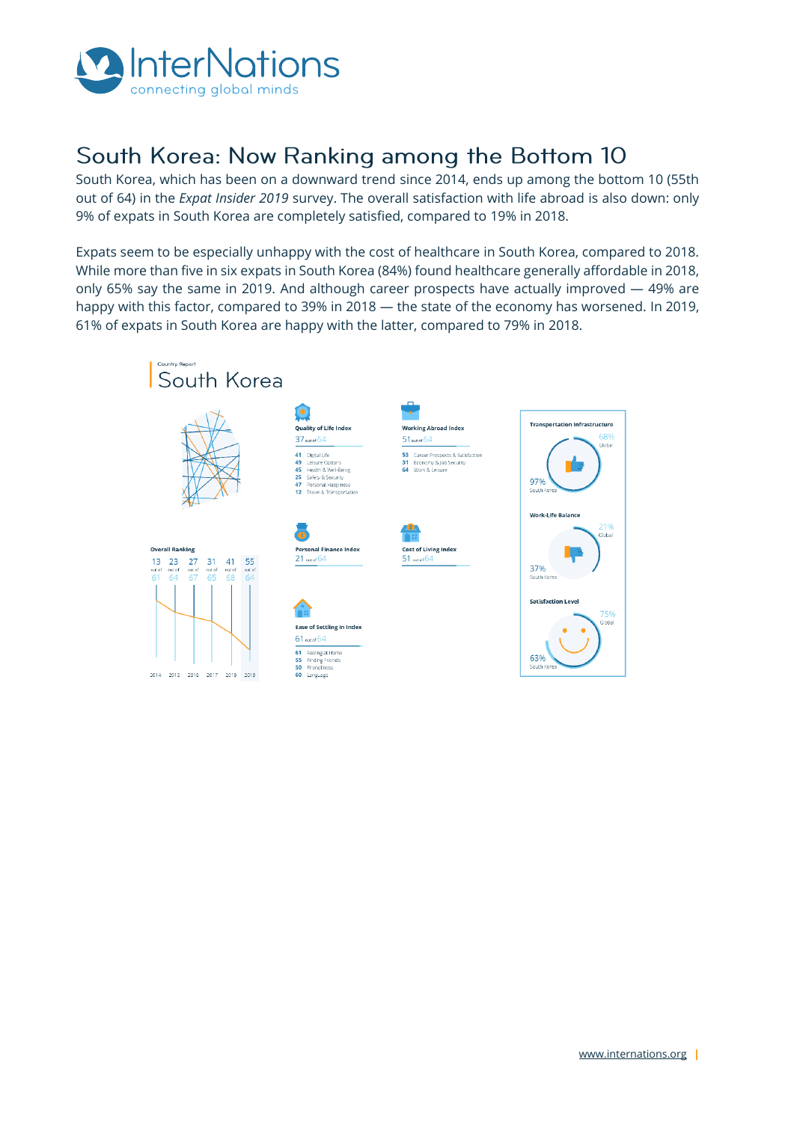

# South Korea: Now Ranking among the Bottom 10

South Korea, which has been on a downward trend since 2014, ends up among the bottom 10 (55th out of 64) in the *Expat Insider 2019* survey. The overall satisfaction with life abroad is also down: only 9% of expats in South Korea are completely satisfied, compared to 19% in 2018.

Expats seem to be especially unhappy with the cost of healthcare in South Korea, compared to 2018. While more than five in six expats in South Korea (84%) found healthcare generally affordable in 2018, only 65% say the same in 2019. And although career prospects have actually improved — 49% are happy with this factor, compared to 39% in 2018 — the state of the economy has worsened. In 2019, 61% of expats in South Korea are happy with the latter, compared to 79% in 2018.